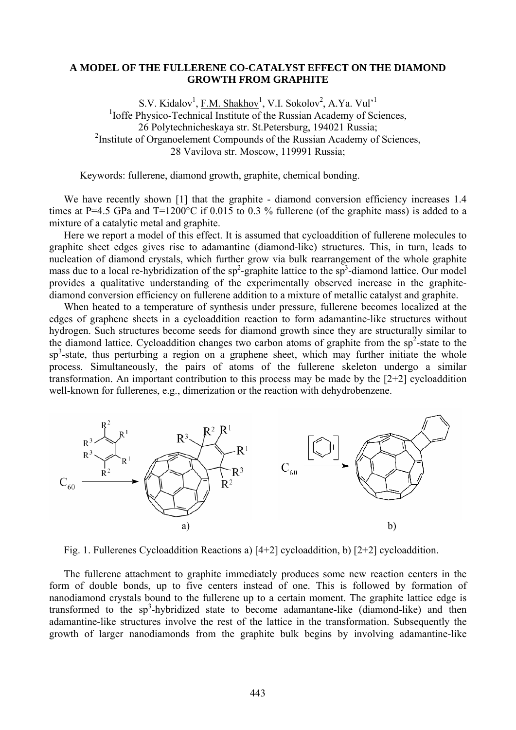## **A MODEL OF THE FULLERENE CO-CATALYST EFFECT ON THE DIAMOND GROWTH FROM GRAPHITE**

S.V. Kidalov<sup>1</sup>, <u>F.M. Shakhov</u><sup>1</sup>, V.I. Sokolov<sup>2</sup>, A.Ya. Vul<sup>1</sup> <sup>1</sup>Ioffe Physico-Technical Institute of the Russian Academy of Sciences, 26 Polytechnicheskaya str. St.Petersburg, 194021 Russia; <sup>2</sup>Institute of Organoelement Compounds of the Russian Academy of Sciences, 28 Vavilova str. Moscow, 119991 Russia;

Keywords: fullerene, diamond growth, graphite, chemical bonding.

We have recently shown [1] that the graphite - diamond conversion efficiency increases 1.4 times at P=4.5 GPa and  $T=1200^{\circ}$ C if 0.015 to 0.3 % fullerene (of the graphite mass) is added to a mixture of a catalytic metal and graphite.

Here we report a model of this effect. It is assumed that cycloaddition of fullerene molecules to graphite sheet edges gives rise to adamantine (diamond-like) structures. This, in turn, leads to nucleation of diamond crystals, which further grow via bulk rearrangement of the whole graphite mass due to a local re-hybridization of the  $sp^2$ -graphite lattice to the  $sp^3$ -diamond lattice. Our model provides a qualitative understanding of the experimentally observed increase in the graphitediamond conversion efficiency on fullerene addition to a mixture of metallic catalyst and graphite.

When heated to a temperature of synthesis under pressure, fullerene becomes localized at the edges of graphene sheets in a cycloaddition reaction to form adamantine-like structures without hydrogen. Such structures become seeds for diamond growth since they are structurally similar to the diamond lattice. Cycloaddition changes two carbon atoms of graphite from the  $sp^2$ -state to the  $sp<sup>3</sup>$ -state, thus perturbing a region on a graphene sheet, which may further initiate the whole process. Simultaneously, the pairs of atoms of the fullerene skeleton undergo a similar transformation. An important contribution to this process may be made by the [2+2] cycloaddition well-known for fullerenes, e.g., dimerization or the reaction with dehydrobenzene.



Fig. 1. Fullerenes Cycloaddition Reactions a) [4+2] cycloaddition, b) [2+2] cycloaddition.

The fullerene attachment to graphite immediately produces some new reaction centers in the form of double bonds, up to five centers instead of one. This is followed by formation of nanodiamond crystals bound to the fullerene up to a certain moment. The graphite lattice edge is transformed to the  $sp^3$ -hybridized state to become adamantane-like (diamond-like) and then adamantine-like structures involve the rest of the lattice in the transformation. Subsequently the growth of larger nanodiamonds from the graphite bulk begins by involving adamantine-like